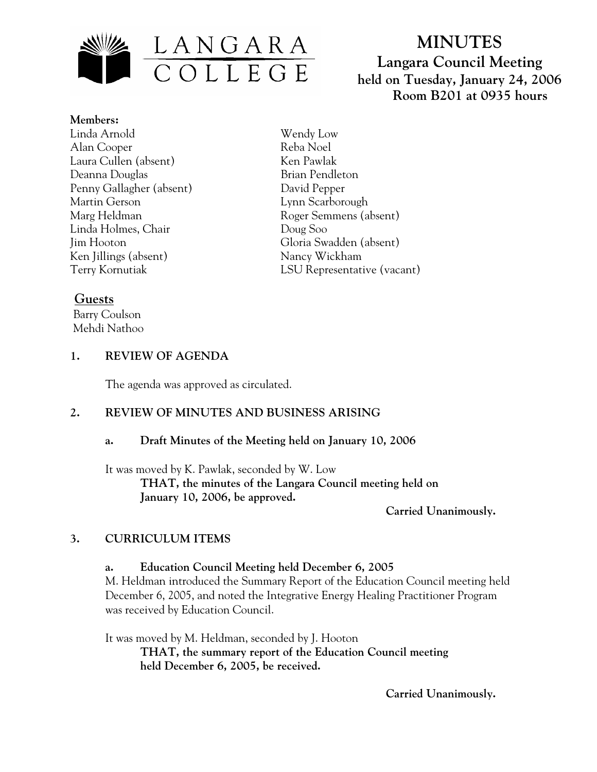

# **MINUTES Langara Council Meeting held on Tuesday, January 24, 2006 Room B201 at 0935 hours**

**Members:** Linda Arnold Alan Cooper Laura Cullen (absent) Deanna Douglas Penny Gallagher (absent) Martin Gerson Marg Heldman Linda Holmes, Chair Jim Hooton Ken Jillings (absent) Terry Kornutiak

Wendy Low Reba Noel Ken Pawlak Brian Pendleton David Pepper Lynn Scarborough Roger Semmens (absent) Doug Soo Gloria Swadden (absent) Nancy Wickham LSU Representative (vacant)

## **Guests**

 Barry Coulson Mehdi Nathoo

#### **1. REVIEW OF AGENDA**

The agenda was approved as circulated.

## **2. REVIEW OF MINUTES AND BUSINESS ARISING**

#### **a. Draft Minutes of the Meeting held on January 10, 2006**

It was moved by K. Pawlak, seconded by W. Low  **THAT, the minutes of the Langara Council meeting held on January 10, 2006, be approved.** 

 **Carried Unanimously.** 

## **3. CURRICULUM ITEMS**

#### **a. Education Council Meeting held December 6, 2005**

M. Heldman introduced the Summary Report of the Education Council meeting held December 6, 2005, and noted the Integrative Energy Healing Practitioner Program was received by Education Council.

It was moved by M. Heldman, seconded by J. Hooton **THAT, the summary report of the Education Council meeting held December 6, 2005, be received.** 

 **Carried Unanimously.**